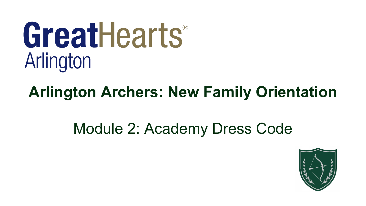# GreatHearts® Arlington

# **Arlington Archers: New Family Orientation**

# Module 2: Academy Dress Code

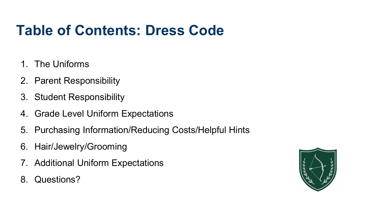# **Table of Contents: Dress Code**

- 1. The Uniforms
- 2. Parent Responsibility
- 3. Student Responsibility
- 4. Grade Level Uniform Expectations
- 5. Purchasing Information/Reducing Costs/Helpful Hints
- 6. Hair/Jewelry/Grooming
- 7. Additional Uniform Expectations
- 8. Questions?

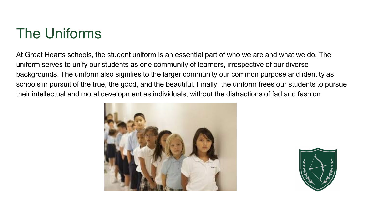# The Uniforms

At Great Hearts schools, the student uniform is an essential part of who we are and what we do. The uniform serves to unify our students as one community of learners, irrespective of our diverse backgrounds. The uniform also signifies to the larger community our common purpose and identity as schools in pursuit of the true, the good, and the beautiful. Finally, the uniform frees our students to pursue their intellectual and moral development as individuals, without the distractions of fad and fashion.



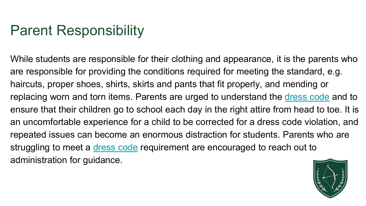# Parent Responsibility

While students are responsible for their clothing and appearance, it is the parents who are responsible for providing the conditions required for meeting the standard, e.g. haircuts, proper shoes, shirts, skirts and pants that fit properly, and mending or replacing worn and torn items. Parents are urged to understand the [dress code](https://arlington.greatheartsamerica.org/academy-life/uniforms/) and to ensure that their children go to school each day in the right attire from head to toe. It is an uncomfortable experience for a child to be corrected for a dress code violation, and repeated issues can become an enormous distraction for students. Parents who are struggling to meet a [dress code](https://arlington.greatheartsamerica.org/academy-life/uniforms/) requirement are encouraged to reach out to administration for guidance.

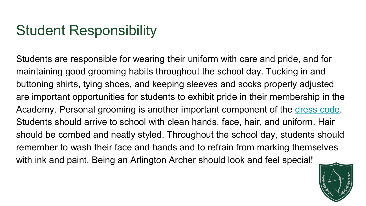### Student Responsibility

Students are responsible for wearing their uniform with care and pride, and for maintaining good grooming habits throughout the school day. Tucking in and buttoning shirts, tying shoes, and keeping sleeves and socks properly adjusted are important opportunities for students to exhibit pride in their membership in the Academy. Personal grooming is another important component of the [dress code.](https://arlington.greatheartsamerica.org/academy-life/uniforms/) Students should arrive to school with clean hands, face, hair, and uniform. Hair should be combed and neatly styled. Throughout the school day, students should remember to wash their face and hands and to refrain from marking themselves with ink and paint. Being an Arlington Archer should look and feel special!

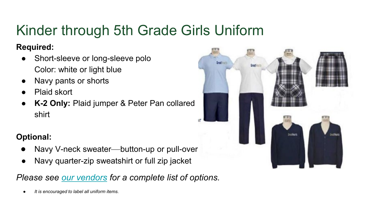# Kinder through 5th Grade Girls Uniform

#### **Required:**

- Short-sleeve or long-sleeve polo Color: white or light blue
- Navy pants or shorts
- Plaid skort
- **K-2 Only:** Plaid jumper & Peter Pan collared shirt

#### **Optional:**

- Navy V-neck sweater—button-up or pull-over
- Navy quarter-zip sweatshirt or full zip jacket

#### *Please see [our vendors](https://arlington.greatheartsamerica.org/academy-life/uniforms/) for a complete list of options.*

*It is encouraged to label all uniform items.* 

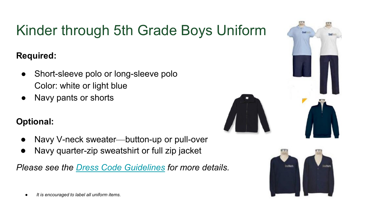# Kinder through 5th Grade Boys Uniform

#### **Required:**

- Short-sleeve polo or long-sleeve polo Color: white or light blue
- Navy pants or shorts

#### **Optional:**

- Navy V-neck sweater—button-up or pull-over
- Navy quarter-zip sweatshirt or full zip jacket



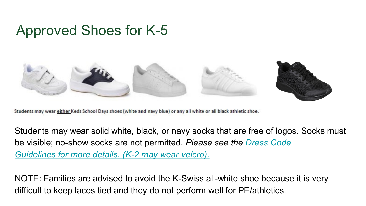### Approved Shoes for K-5



Students may wear either Keds School Days shoes (white and navy blue) or any all white or all black athletic shoe.

Students may wear solid white, black, or navy socks that are free of logos. Socks must be visible; no-show socks are not permitted. *Please see the [Dress Code](https://arlington.greatheartsamerica.org/wp-content/uploads/sites/42/2022/03/GHA-Lower-School-Dress-Code.pdf)  [Guidelines for more details. \(K-2 may wear velcro\).](https://arlington.greatheartsamerica.org/wp-content/uploads/sites/42/2022/03/GHA-Lower-School-Dress-Code.pdf)*

NOTE: Families are advised to avoid the K-Swiss all-white shoe because it is very difficult to keep laces tied and they do not perform well for PE/athletics.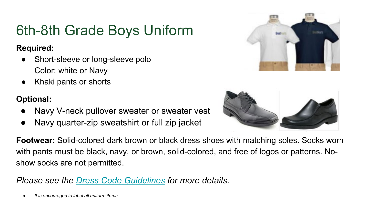# 6th-8th Grade Boys Uniform

#### **Required:**

- Short-sleeve or long-sleeve polo Color: white or Navy
- Khaki pants or shorts

#### **Optional:**

- Navy V-neck pullover sweater or sweater vest
- Navy quarter-zip sweatshirt or full zip jacket

**Footwear:** Solid-colored dark brown or black dress shoes with matching soles. Socks worn with pants must be black, navy, or brown, solid-colored, and free of logos or patterns. Noshow socks are not permitted.

*Please see the [Dress Code Guidelines](https://arlington.greatheartsamerica.org/wp-content/uploads/sites/42/2022/03/GHA-Upper-School-Dress-Code.pdf) for more details.*

*It is encouraged to label all uniform items.* 



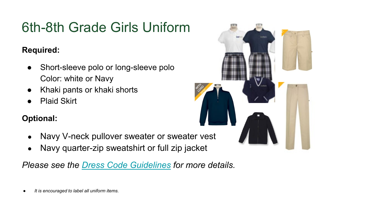# 6th-8th Grade Girls Uniform

#### **Required:**

- Short-sleeve polo or long-sleeve polo Color: white or Navy
- Khaki pants or khaki shorts
- **Plaid Skirt**

#### **Optional:**

- Navy V-neck pullover sweater or sweater vest
- Navy quarter-zip sweatshirt or full zip jacket



*It is encouraged to label all uniform items.*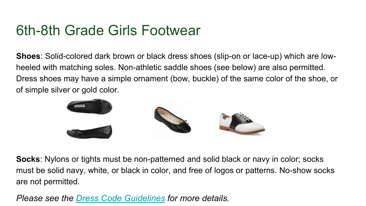### 6th-8th Grade Girls Footwear

**Shoes**: Solid-colored dark brown or black dress shoes (slip-on or lace-up) which are lowheeled with matching soles. Non-athletic saddle shoes (see below) are also permitted. Dress shoes may have a simple ornament (bow, buckle) of the same color of the shoe, or of simple silver or gold color.



**Socks**: Nylons or tights must be non-patterned and solid black or navy in color; socks must be solid navy, white, or black in color, and free of logos or patterns. No-show socks are not permitted.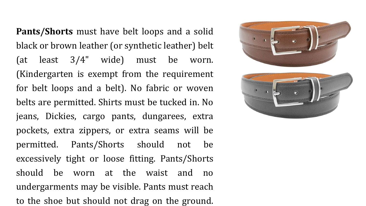**Pants/Shorts** must have belt loops and a solid black or brown leather (or synthetic leather) belt (at least 3/4" wide) must be worn. (Kindergarten is exempt from the requirement for belt loops and a belt). No fabric or woven belts are permitted. Shirts must be tucked in. No jeans, Dickies, cargo pants, dungarees, extra pockets, extra zippers, or extra seams will be permitted. Pants/Shorts should not be excessively tight or loose fitting. Pants/Shorts should be worn at the waist and no undergarments may be visible. Pants must reach to the shoe but should not drag on the ground.



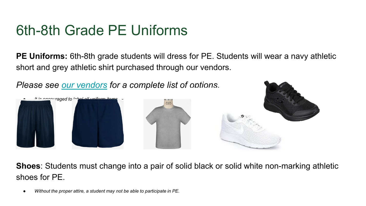### 6th-8th Grade PE Uniforms

**PE Uniforms:** 6th-8th grade students will dress for PE. Students will wear a navy athletic short and grey athletic shirt purchased through our vendors.

*Please see [our vendors](https://arlington.greatheartsamerica.org/academy-life/uniforms/) for a complete list of options.* 



**Shoes**: Students must change into a pair of solid black or solid white non-marking athletic shoes for PE.

Without the proper attire, a student may not be able to participate in PE.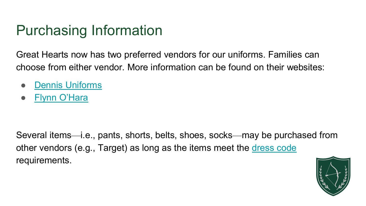### Purchasing Information

Great Hearts now has two preferred vendors for our uniforms. Families can choose from either vendor. More information can be found on their websites:

- [Dennis Uniforms](https://www.dennisuniform.com/collections/VGA)
- **[Flynn O'Hara](https://flynnohara.com/shop/great-hearts-arlington-tx144/)**

Several items—i.e., pants, shorts, belts, shoes, socks—may be purchased from other vendors (e.g., Target) as long as the items meet the [dress code](https://arlington.greatheartsamerica.org/academy-life/uniforms/)  requirements.

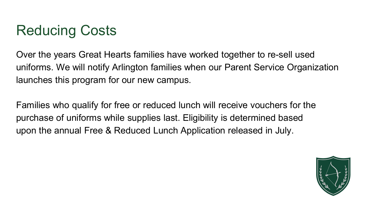# Reducing Costs

Over the years Great Hearts families have worked together to re-sell used uniforms. We will notify Arlington families when our Parent Service Organization launches this program for our new campus.

Families who qualify for free or reduced lunch will receive vouchers for the purchase of uniforms while supplies last. Eligibility is determined based upon the annual Free & Reduced Lunch Application released in July.

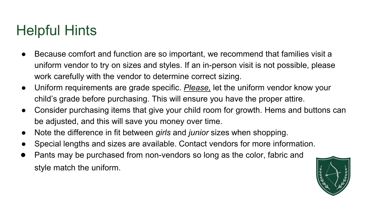### Helpful Hints

- Because comfort and function are so important, we recommend that families visit a uniform vendor to try on sizes and styles. If an in-person visit is not possible, please work carefully with the vendor to determine correct sizing.
- Uniform requirements are grade specific. *Please,* let the uniform vendor know your child's grade before purchasing. This will ensure you have the proper attire.
- Consider purchasing items that give your child room for growth. Hems and buttons can be adjusted, and this will save you money over time.
- Note the difference in fit between *girls* and *junior* sizes when shopping.
- Special lengths and sizes are available. Contact vendors for more information.
- Pants may be purchased from non-vendors so long as the color, fabric and style match the uniform.

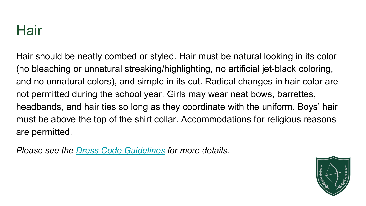### Hair

Hair should be neatly combed or styled. Hair must be natural looking in its color (no bleaching or unnatural streaking/highlighting, no artificial jet‐black coloring, and no unnatural colors), and simple in its cut. Radical changes in hair color are not permitted during the school year. Girls may wear neat bows, barrettes, headbands, and hair ties so long as they coordinate with the uniform. Boys' hair must be above the top of the shirt collar. Accommodations for religious reasons are permitted.

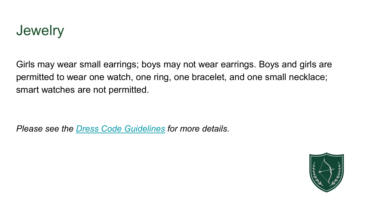

Girls may wear small earrings; boys may not wear earrings. Boys and girls are permitted to wear one watch, one ring, one bracelet, and one small necklace; smart watches are not permitted.

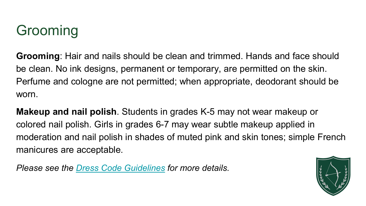# Grooming

**Grooming**: Hair and nails should be clean and trimmed. Hands and face should be clean. No ink designs, permanent or temporary, are permitted on the skin. Perfume and cologne are not permitted; when appropriate, deodorant should be worn.

**Makeup and nail polish**. Students in grades K-5 may not wear makeup or colored nail polish. Girls in grades 6-7 may wear subtle makeup applied in moderation and nail polish in shades of muted pink and skin tones; simple French manicures are acceptable.

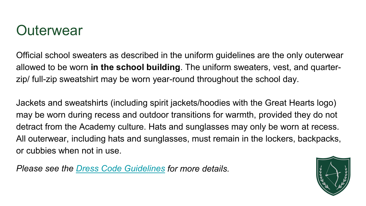### **Outerwear**

Official school sweaters as described in the uniform guidelines are the only outerwear allowed to be worn **in the school building**. The uniform sweaters, vest, and quarterzip/ full-zip sweatshirt may be worn year-round throughout the school day.

Jackets and sweatshirts (including spirit jackets/hoodies with the Great Hearts logo) may be worn during recess and outdoor transitions for warmth, provided they do not detract from the Academy culture. Hats and sunglasses may only be worn at recess. All outerwear, including hats and sunglasses, must remain in the lockers, backpacks, or cubbies when not in use.

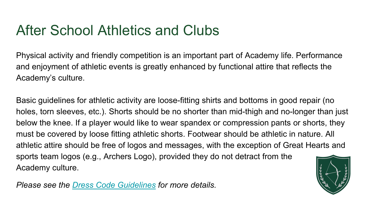### After School Athletics and Clubs

Physical activity and friendly competition is an important part of Academy life. Performance and enjoyment of athletic events is greatly enhanced by functional attire that reflects the Academy's culture.

Basic guidelines for athletic activity are loose-fitting shirts and bottoms in good repair (no holes, torn sleeves, etc.). Shorts should be no shorter than mid-thigh and no-longer than just below the knee. If a player would like to wear spandex or compression pants or shorts, they must be covered by loose fitting athletic shorts. Footwear should be athletic in nature. All athletic attire should be free of logos and messages, with the exception of Great Hearts and sports team logos (e.g., Archers Logo), provided they do not detract from the Academy culture.

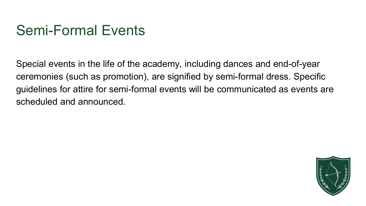### Semi-Formal Events

Special events in the life of the academy, including dances and end-of-year ceremonies (such as promotion), are signified by semi-formal dress. Specific guidelines for attire for semi-formal events will be communicated as events are scheduled and announced.